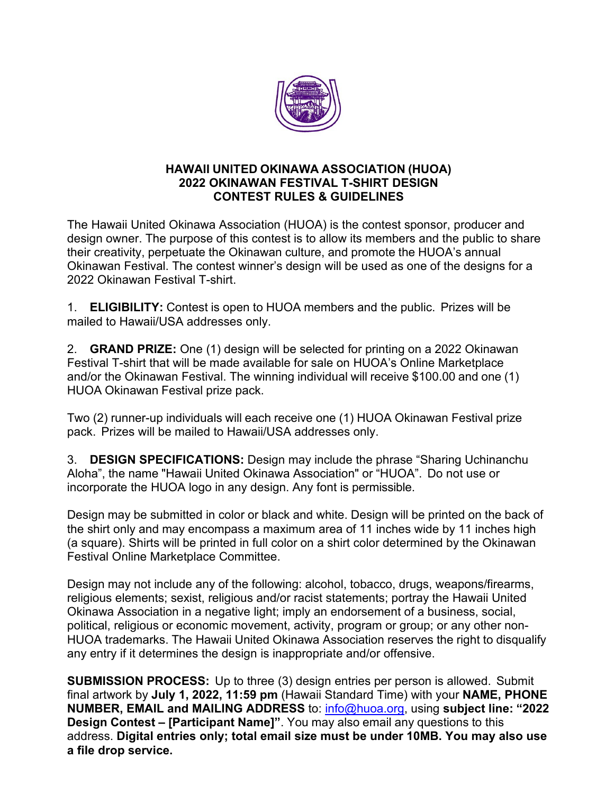

## **HAWAII UNITED OKINAWA ASSOCIATION (HUOA) 2022 OKINAWAN FESTIVAL T-SHIRT DESIGN CONTEST RULES & GUIDELINES**

The Hawaii United Okinawa Association (HUOA) is the contest sponsor, producer and design owner. The purpose of this contest is to allow its members and the public to share their creativity, perpetuate the Okinawan culture, and promote the HUOA's annual Okinawan Festival. The contest winner's design will be used as one of the designs for a 2022 Okinawan Festival T-shirt.

1. **ELIGIBILITY:** Contest is open to HUOA members and the public. Prizes will be mailed to Hawaii/USA addresses only.

2. **GRAND PRIZE:** One (1) design will be selected for printing on a 2022 Okinawan Festival T-shirt that will be made available for sale on HUOA's Online Marketplace and/or the Okinawan Festival. The winning individual will receive \$100.00 and one (1) HUOA Okinawan Festival prize pack.

Two (2) runner-up individuals will each receive one (1) HUOA Okinawan Festival prize pack. Prizes will be mailed to Hawaii/USA addresses only.

3. **DESIGN SPECIFICATIONS:** Design may include the phrase "Sharing Uchinanchu Aloha", the name "Hawaii United Okinawa Association" or "HUOA". Do not use or incorporate the HUOA logo in any design. Any font is permissible.

Design may be submitted in color or black and white. Design will be printed on the back of the shirt only and may encompass a maximum area of 11 inches wide by 11 inches high (a square). Shirts will be printed in full color on a shirt color determined by the Okinawan Festival Online Marketplace Committee.

Design may not include any of the following: alcohol, tobacco, drugs, weapons/firearms, religious elements; sexist, religious and/or racist statements; portray the Hawaii United Okinawa Association in a negative light; imply an endorsement of a business, social, political, religious or economic movement, activity, program or group; or any other non-HUOA trademarks. The Hawaii United Okinawa Association reserves the right to disqualify any entry if it determines the design is inappropriate and/or offensive.

**SUBMISSION PROCESS:** Up to three (3) design entries per person is allowed. Submit final artwork by **July 1, 2022, 11:59 pm** (Hawaii Standard Time) with your **NAME, PHONE NUMBER, EMAIL and MAILING ADDRESS** to: [info@huoa.org,](mailto:info@huoa.org) using **subject line: "2022 Design Contest – [Participant Name]"**. You may also email any questions to this address. **Digital entries only; total email size must be under 10MB. You may also use a file drop service.**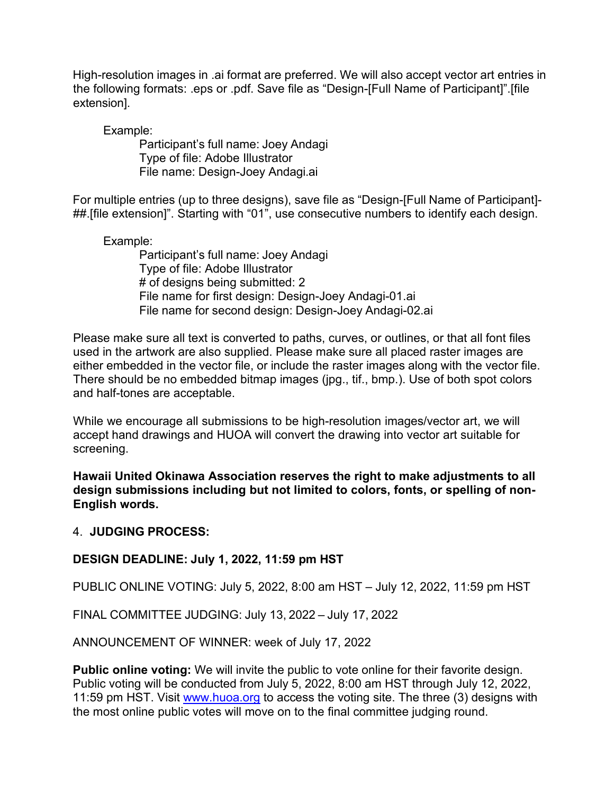High-resolution images in .ai format are preferred. We will also accept vector art entries in the following formats: .eps or .pdf. Save file as "Design-[Full Name of Participant]".[file extension].

Example:

Participant's full name: Joey Andagi Type of file: Adobe Illustrator File name: Design-Joey Andagi.ai

For multiple entries (up to three designs), save file as "Design-[Full Name of Participant]- ##.[file extension]". Starting with "01", use consecutive numbers to identify each design.

Example:

Participant's full name: Joey Andagi Type of file: Adobe Illustrator # of designs being submitted: 2 File name for first design: Design-Joey Andagi-01.ai File name for second design: Design-Joey Andagi-02.ai

Please make sure all text is converted to paths, curves, or outlines, or that all font files used in the artwork are also supplied. Please make sure all placed raster images are either embedded in the vector file, or include the raster images along with the vector file. There should be no embedded bitmap images (jpg., tif., bmp.). Use of both spot colors and half-tones are acceptable.

While we encourage all submissions to be high-resolution images/vector art, we will accept hand drawings and HUOA will convert the drawing into vector art suitable for screening.

**Hawaii United Okinawa Association reserves the right to make adjustments to all design submissions including but not limited to colors, fonts, or spelling of non-English words.**

## 4. **JUDGING PROCESS:**

## **DESIGN DEADLINE: July 1, 2022, 11:59 pm HST**

PUBLIC ONLINE VOTING: July 5, 2022, 8:00 am HST – July 12, 2022, 11:59 pm HST

FINAL COMMITTEE JUDGING: July 13, 2022 – July 17, 2022

ANNOUNCEMENT OF WINNER: week of July 17, 2022

**Public online voting:** We will invite the public to vote online for their favorite design. Public voting will be conducted from July 5, 2022, 8:00 am HST through July 12, 2022, 11:59 pm HST. Visit [www.huoa.org](http://www.huoa.org/) to access the voting site. The three (3) designs with the most online public votes will move on to the final committee judging round.